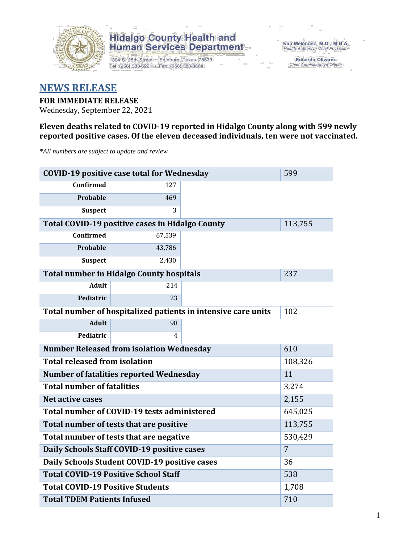

1304 S. 25th Street · Edinburg, Texas 78539 Tel: (956) 383-6221 · Fax: (956) 383-8864

Iván Meléndez, M.D., M.B.A. Health Authority / Chief Physician

**Eduardo Olivarez** Chief Administrative Officer

#### **NEWS RELEASE**

#### **FOR IMMEDIATE RELEASE**

Wednesday, September 22, 2021

#### **Eleven deaths related to COVID-19 reported in Hidalgo County along with 599 newly reported positive cases. Of the eleven deceased individuals, ten were not vaccinated.**

*\*All numbers are subject to update and review*

| <b>COVID-19 positive case total for Wednesday</b>             | 599                                             |     |         |
|---------------------------------------------------------------|-------------------------------------------------|-----|---------|
| <b>Confirmed</b>                                              | 127                                             |     |         |
| <b>Probable</b>                                               | 469                                             |     |         |
| <b>Suspect</b>                                                | 3                                               |     |         |
|                                                               | Total COVID-19 positive cases in Hidalgo County |     | 113,755 |
| <b>Confirmed</b>                                              | 67,539                                          |     |         |
| Probable                                                      | 43,786                                          |     |         |
| <b>Suspect</b>                                                | 2,430                                           |     |         |
|                                                               | <b>Total number in Hidalgo County hospitals</b> |     | 237     |
| <b>Adult</b>                                                  | 214                                             |     |         |
| Pediatric                                                     | 23                                              |     |         |
| Total number of hospitalized patients in intensive care units | 102                                             |     |         |
| <b>Adult</b>                                                  | 98                                              |     |         |
| Pediatric                                                     | 4                                               |     |         |
|                                                               | <b>Number Released from isolation Wednesday</b> |     | 610     |
| <b>Total released from isolation</b>                          |                                                 |     | 108,326 |
|                                                               | <b>Number of fatalities reported Wednesday</b>  |     | 11      |
| <b>Total number of fatalities</b>                             |                                                 |     | 3,274   |
| <b>Net active cases</b>                                       |                                                 |     | 2,155   |
|                                                               | Total number of COVID-19 tests administered     |     | 645,025 |
|                                                               | Total number of tests that are positive         |     | 113,755 |
|                                                               | Total number of tests that are negative         |     | 530,429 |
|                                                               | Daily Schools Staff COVID-19 positive cases     |     | 7       |
|                                                               | Daily Schools Student COVID-19 positive cases   |     | 36      |
| <b>Total COVID-19 Positive School Staff</b>                   |                                                 | 538 |         |
| <b>Total COVID-19 Positive Students</b>                       |                                                 |     | 1,708   |
| <b>Total TDEM Patients Infused</b>                            | 710                                             |     |         |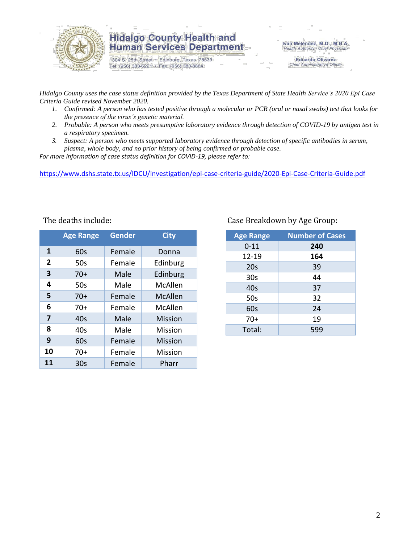

1304 S. 25th Street · Edinburg, Texas 78539 Tel: (956) 383-6221 · Fax: (956) 383-8864

Iván Meléndez, M.D., M.B.A. Health Authority / Chief Physician

> **Eduardo Olivarez** Chief Administrative Officer

*Hidalgo County uses the case status definition provided by the Texas Department of State Health Service's 2020 Epi Case Criteria Guide revised November 2020.*

- *1. Confirmed: A person who has tested positive through a molecular or PCR (oral or nasal swabs) test that looks for the presence of the virus's genetic material.*
- *2. Probable: A person who meets presumptive laboratory evidence through detection of COVID-19 by antigen test in a respiratory specimen.*
- *3. Suspect: A person who meets supported laboratory evidence through detection of specific antibodies in serum, plasma, whole body, and no prior history of being confirmed or probable case.*

*For more information of case status definition for COVID-19, please refer to:*

<https://www.dshs.state.tx.us/IDCU/investigation/epi-case-criteria-guide/2020-Epi-Case-Criteria-Guide.pdf>

|                | <b>Age Range</b> | <b>Gender</b> | <b>City</b>    |
|----------------|------------------|---------------|----------------|
| 1              | 60s              | Female        | Donna          |
| $\overline{2}$ | 50s              | Female        | Edinburg       |
| 3              | $70+$            | Male          | Edinburg       |
| 4              | 50s              | Male          | McAllen        |
| 5              | $70+$            | Female        | <b>McAllen</b> |
| 6              | $70+$            | Female        | McAllen        |
| 7              | 40 <sub>s</sub>  | Male          | <b>Mission</b> |
| 8              | 40s              | Male          | Mission        |
| 9              | 60s              | Female        | <b>Mission</b> |
| 10             | $70+$            | Female        | Mission        |
| 11             | 30s              | Female        | Pharr          |

#### The deaths include: The deaths include: Case Breakdown by Age Group:

| <b>Age Range</b> | <b>Number of Cases</b> |
|------------------|------------------------|
| $0 - 11$         | 240                    |
| 12-19            | 164                    |
| 20s              | 39                     |
| 30 <sub>s</sub>  | 44                     |
| 40s              | 37                     |
| 50s              | 32                     |
| 60s              | 24                     |
| $70+$            | 19                     |
| Total:           | 599                    |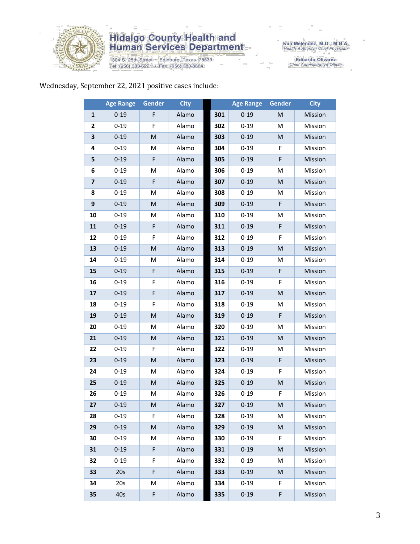

1304 S. 25th Street • Edinburg, Texas 78539<br>Tel: (956) 383-6221 • Fax: (956) 383-8864

Iván Meléndez, M.D., M.B.A.<br>Health Authority / Chief Physician

Eduardo Olivarez<br>Chief Administrative Officer

#### Wednesday, September 22, 2021 positive cases include:

|                | <b>Age Range</b> | <b>Gender</b>                                                                                              | <b>City</b> |     | <b>Age Range</b> | Gender    | <b>City</b> |
|----------------|------------------|------------------------------------------------------------------------------------------------------------|-------------|-----|------------------|-----------|-------------|
| 1              | $0 - 19$         | F                                                                                                          | Alamo       | 301 | $0 - 19$         | M         | Mission     |
| 2              | $0 - 19$         | F                                                                                                          | Alamo       | 302 | $0 - 19$         | M         | Mission     |
| 3              | $0 - 19$         | M                                                                                                          | Alamo       | 303 | $0 - 19$         | M         | Mission     |
| 4              | $0 - 19$         | M                                                                                                          | Alamo       | 304 | $0 - 19$         | F         | Mission     |
| 5              | $0 - 19$         | F                                                                                                          | Alamo       | 305 | $0 - 19$         | F         | Mission     |
| 6              | $0 - 19$         | M                                                                                                          | Alamo       | 306 | $0 - 19$         | м         | Mission     |
| $\overline{7}$ | $0 - 19$         | F                                                                                                          | Alamo       | 307 | $0 - 19$         | M         | Mission     |
| 8              | $0 - 19$         | M                                                                                                          | Alamo       | 308 | $0 - 19$         | М         | Mission     |
| 9              | $0 - 19$         | M                                                                                                          | Alamo       | 309 | $0 - 19$         | F         | Mission     |
| 10             | $0 - 19$         | M                                                                                                          | Alamo       | 310 | $0 - 19$         | M         | Mission     |
| 11             | $0 - 19$         | F                                                                                                          | Alamo       | 311 | $0 - 19$         | F         | Mission     |
| 12             | $0 - 19$         | F                                                                                                          | Alamo       | 312 | $0 - 19$         | F         | Mission     |
| 13             | $0 - 19$         | M                                                                                                          | Alamo       | 313 | $0 - 19$         | M         | Mission     |
| 14             | $0 - 19$         | M                                                                                                          | Alamo       | 314 | $0 - 19$         | M         | Mission     |
| 15             | $0 - 19$         | F                                                                                                          | Alamo       | 315 | $0 - 19$         | F         | Mission     |
| 16             | $0 - 19$         | F                                                                                                          | Alamo       | 316 | $0 - 19$         | F         | Mission     |
| 17             | $0 - 19$         | F                                                                                                          | Alamo       | 317 | $0 - 19$         | M         | Mission     |
| 18             | $0 - 19$         | F                                                                                                          | Alamo       | 318 | $0 - 19$         | M         | Mission     |
| 19             | $0 - 19$         | M                                                                                                          | Alamo       | 319 | $0 - 19$         | F         | Mission     |
| 20             | $0 - 19$         | M                                                                                                          | Alamo       | 320 | $0 - 19$         | M         | Mission     |
| 21             | $0 - 19$         | M                                                                                                          | Alamo       | 321 | $0 - 19$         | M         | Mission     |
| 22             | $0 - 19$         | F                                                                                                          | Alamo       | 322 | $0 - 19$         | M         | Mission     |
| 23             | $0 - 19$         | M                                                                                                          | Alamo       | 323 | $0 - 19$         | F         | Mission     |
| 24             | $0 - 19$         | M                                                                                                          | Alamo       | 324 | $0 - 19$         | F         | Mission     |
| 25             | $0 - 19$         | M                                                                                                          | Alamo       | 325 | $0 - 19$         | M         | Mission     |
| 26             | $0 - 19$         | M                                                                                                          | Alamo       | 326 | $0 - 19$         | F         | Mission     |
| 27             | $0 - 19$         | $\mathsf{M}% _{T}=\mathsf{M}_{T}\!\left( a,b\right) ,\ \mathsf{M}_{T}=\mathsf{M}_{T}\!\left( a,b\right) ,$ | Alamo       | 327 | $0 - 19$         | ${\sf M}$ | Mission     |
| 28             | $0 - 19$         | F.                                                                                                         | Alamo       | 328 | $0 - 19$         | М         | Mission     |
| 29             | $0 - 19$         | M                                                                                                          | Alamo       | 329 | $0 - 19$         | ${\sf M}$ | Mission     |
| 30             | $0 - 19$         | M                                                                                                          | Alamo       | 330 | $0 - 19$         | F         | Mission     |
| 31             | $0 - 19$         | F                                                                                                          | Alamo       | 331 | $0 - 19$         | M         | Mission     |
| 32             | $0 - 19$         | F                                                                                                          | Alamo       | 332 | $0 - 19$         | М         | Mission     |
| 33             | 20s              | F                                                                                                          | Alamo       | 333 | $0 - 19$         | M         | Mission     |
| 34             | 20s              | M                                                                                                          | Alamo       | 334 | $0 - 19$         | F         | Mission     |
| 35             | 40s              | F                                                                                                          | Alamo       | 335 | $0 - 19$         | F         | Mission     |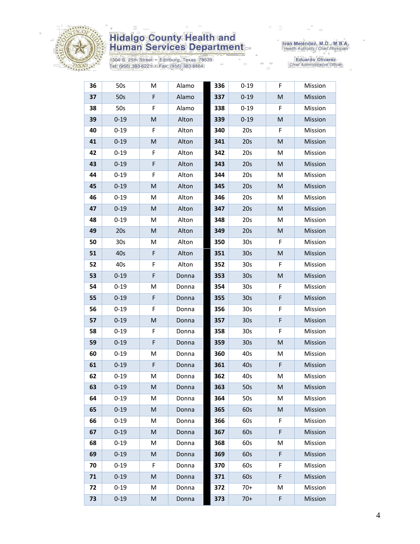

1304 S. 25th Street • Edinburg, Texas 78539<br>Tel: (956) 383-6221 • Fax: (956) 383-8864

Iván Meléndez, M.D., M.B.A.<br>Health Authority / Chief Physician

| 36 | 50s             | M           | Alamo | 336 | $0 - 19$        | F         | Mission |
|----|-----------------|-------------|-------|-----|-----------------|-----------|---------|
| 37 | 50s             | F           | Alamo | 337 | $0 - 19$        | M         | Mission |
| 38 | 50s             | F           | Alamo | 338 | $0 - 19$        | F         | Mission |
| 39 | $0 - 19$        | M           | Alton | 339 | $0 - 19$        | M         | Mission |
| 40 | $0 - 19$        | F           | Alton | 340 | 20s             | F         | Mission |
| 41 | $0 - 19$        | M           | Alton | 341 | 20s             | M         | Mission |
| 42 | $0 - 19$        | F           | Alton | 342 | 20s             | M         | Mission |
| 43 | $0 - 19$        | F           | Alton | 343 | 20s             | M         | Mission |
| 44 | $0 - 19$        | F           | Alton | 344 | 20s             | M         | Mission |
| 45 | $0 - 19$        | M           | Alton | 345 | 20s             | M         | Mission |
| 46 | $0 - 19$        | M           | Alton | 346 | 20s             | M         | Mission |
| 47 | $0 - 19$        | M           | Alton | 347 | 20s             | M         | Mission |
| 48 | $0 - 19$        | M           | Alton | 348 | 20s             | M         | Mission |
| 49 | 20s             | M           | Alton | 349 | 20s             | M         | Mission |
| 50 | 30 <sub>s</sub> | M           | Alton | 350 | 30 <sub>s</sub> | F         | Mission |
| 51 | 40s             | F           | Alton | 351 | 30 <sub>s</sub> | ${\sf M}$ | Mission |
| 52 | 40s             | F           | Alton | 352 | 30 <sub>s</sub> | F         | Mission |
| 53 | $0 - 19$        | F           | Donna | 353 | 30 <sub>s</sub> | M         | Mission |
| 54 | $0 - 19$        | M           | Donna | 354 | 30 <sub>s</sub> | F         | Mission |
| 55 | $0 - 19$        | $\mathsf F$ | Donna | 355 | 30 <sub>s</sub> | F         | Mission |
| 56 | $0 - 19$        | F           | Donna | 356 | 30 <sub>s</sub> | F         | Mission |
| 57 | $0 - 19$        | M           | Donna | 357 | 30s             | F         | Mission |
| 58 | $0 - 19$        | F           | Donna | 358 | 30 <sub>s</sub> | F         | Mission |
| 59 | $0 - 19$        | F           | Donna | 359 | 30 <sub>s</sub> | M         | Mission |
| 60 | $0 - 19$        | M           | Donna | 360 | 40s             | M         | Mission |
| 61 | $0 - 19$        | $\mathsf F$ | Donna | 361 | 40s             | F         | Mission |
| 62 | $0 - 19$        | M           | Donna | 362 | 40s             | M         | Mission |
| 63 | $0 - 19$        | M           | Donna | 363 | 50s             | M         | Mission |
| 64 | $0 - 19$        | М           | Donna | 364 | 50s             | М         | Mission |
| 65 | $0 - 19$        | M           | Donna | 365 | 60s             | ${\sf M}$ | Mission |
| 66 | $0 - 19$        | М           | Donna | 366 | 60s             | F.        | Mission |
| 67 | $0 - 19$        | M           | Donna | 367 | 60s             | F         | Mission |
| 68 | $0 - 19$        | M           | Donna | 368 | 60s             | M         | Mission |
| 69 | $0 - 19$        | M           | Donna | 369 | 60s             | F         | Mission |
| 70 | $0 - 19$        | F           | Donna | 370 | 60s             | F         | Mission |
| 71 | $0 - 19$        | M           | Donna | 371 | 60s             | F         | Mission |
| 72 | $0 - 19$        | М           | Donna | 372 | $70+$           | M         | Mission |
| 73 | $0 - 19$        | M           | Donna | 373 | $70+$           | F         | Mission |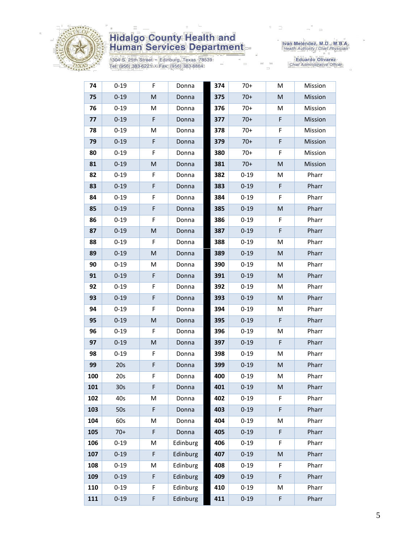

1304 S. 25th Street • Edinburg, Texas 78539<br>Tel: (956) 383-6221 • Fax: (956) 383-8864

Iván Meléndez, M.D., M.B.A.<br>Health Authority / Chief Physician

| 74  | $0 - 19$        | F | Donna    | 374 | $70+$    | M                                                                                                          | Mission |
|-----|-----------------|---|----------|-----|----------|------------------------------------------------------------------------------------------------------------|---------|
| 75  | $0 - 19$        | M | Donna    | 375 | $70+$    | ${\sf M}$                                                                                                  | Mission |
| 76  | $0 - 19$        | M | Donna    | 376 | $70+$    | M                                                                                                          | Mission |
| 77  | $0 - 19$        | F | Donna    | 377 | $70+$    | F                                                                                                          | Mission |
| 78  | $0 - 19$        | M | Donna    | 378 | $70+$    | F                                                                                                          | Mission |
| 79  | $0 - 19$        | F | Donna    | 379 | $70+$    | F                                                                                                          | Mission |
| 80  | $0 - 19$        | F | Donna    | 380 | $70+$    | F                                                                                                          | Mission |
| 81  | $0 - 19$        | M | Donna    | 381 | $70+$    | ${\sf M}$                                                                                                  | Mission |
| 82  | $0 - 19$        | F | Donna    | 382 | $0 - 19$ | M                                                                                                          | Pharr   |
| 83  | $0 - 19$        | F | Donna    | 383 | $0 - 19$ | F                                                                                                          | Pharr   |
| 84  | $0 - 19$        | F | Donna    | 384 | $0 - 19$ | F                                                                                                          | Pharr   |
| 85  | $0 - 19$        | F | Donna    | 385 | $0 - 19$ | ${\sf M}$                                                                                                  | Pharr   |
| 86  | $0 - 19$        | F | Donna    | 386 | $0 - 19$ | F                                                                                                          | Pharr   |
| 87  | $0 - 19$        | M | Donna    | 387 | $0 - 19$ | F                                                                                                          | Pharr   |
| 88  | $0 - 19$        | F | Donna    | 388 | $0 - 19$ | M                                                                                                          | Pharr   |
| 89  | $0 - 19$        | M | Donna    | 389 | $0 - 19$ | ${\sf M}$                                                                                                  | Pharr   |
| 90  | $0 - 19$        | M | Donna    | 390 | $0 - 19$ | M                                                                                                          | Pharr   |
| 91  | $0 - 19$        | F | Donna    | 391 | $0 - 19$ | M                                                                                                          | Pharr   |
| 92  | $0 - 19$        | F | Donna    | 392 | $0 - 19$ | M                                                                                                          | Pharr   |
| 93  | $0 - 19$        | F | Donna    | 393 | $0 - 19$ | ${\sf M}$                                                                                                  | Pharr   |
| 94  | $0 - 19$        | F | Donna    | 394 | $0 - 19$ | M                                                                                                          | Pharr   |
| 95  | $0 - 19$        | M | Donna    | 395 | $0 - 19$ | F                                                                                                          | Pharr   |
| 96  | $0 - 19$        | F | Donna    | 396 | $0 - 19$ | M                                                                                                          | Pharr   |
| 97  | $0 - 19$        | M | Donna    | 397 | $0 - 19$ | F                                                                                                          | Pharr   |
| 98  | $0 - 19$        | F | Donna    | 398 | $0 - 19$ | M                                                                                                          | Pharr   |
| 99  | 20s             | F | Donna    | 399 | $0 - 19$ | $\mathsf{M}% _{T}=\mathsf{M}_{T}\!\left( a,b\right) ,\ \mathsf{M}_{T}=\mathsf{M}_{T}\!\left( a,b\right) ,$ | Pharr   |
| 100 | 20s             | F | Donna    | 400 | $0 - 19$ | М                                                                                                          | Pharr   |
| 101 | 30 <sub>s</sub> | F | Donna    | 401 | $0 - 19$ | M                                                                                                          | Pharr   |
| 102 | 40s             | M | Donna    | 402 | $0 - 19$ | F                                                                                                          | Pharr   |
| 103 | 50s             | F | Donna    | 403 | $0 - 19$ | F                                                                                                          | Pharr   |
| 104 | 60s             | Μ | Donna    | 404 | $0 - 19$ | M                                                                                                          | Pharr   |
| 105 | $70+$           | F | Donna    | 405 | $0 - 19$ | F                                                                                                          | Pharr   |
| 106 | $0 - 19$        | M | Edinburg | 406 | $0 - 19$ | F                                                                                                          | Pharr   |
| 107 | $0 - 19$        | F | Edinburg | 407 | $0 - 19$ | $\mathsf{M}% _{T}=\mathsf{M}_{T}\!\left( a,b\right) ,\ \mathsf{M}_{T}=\mathsf{M}_{T}\!\left( a,b\right) ,$ | Pharr   |
| 108 | $0 - 19$        | M | Edinburg | 408 | $0 - 19$ | F                                                                                                          | Pharr   |
| 109 | $0 - 19$        | F | Edinburg | 409 | $0 - 19$ | F                                                                                                          | Pharr   |
| 110 | $0 - 19$        | F | Edinburg | 410 | $0 - 19$ | M                                                                                                          | Pharr   |
| 111 | $0 - 19$        | F | Edinburg | 411 | $0 - 19$ | F                                                                                                          | Pharr   |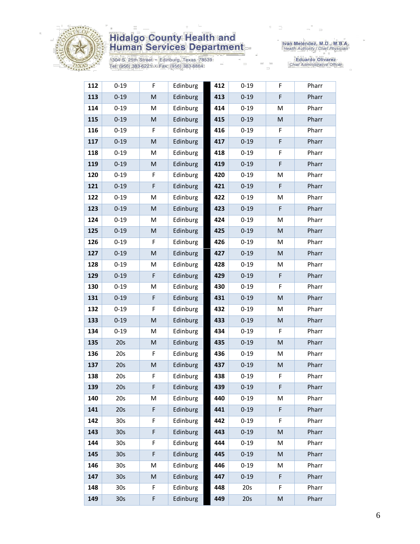

1304 S. 25th Street • Edinburg, Texas 78539<br>Tel: (956) 383-6221 • Fax: (956) 383-8864

Iván Meléndez, M.D., M.B.A.<br>Health Authority / Chief Physician

| 112 | $0 - 19$        | F         | Edinburg | 412 | $0 - 19$ | F         | Pharr |
|-----|-----------------|-----------|----------|-----|----------|-----------|-------|
| 113 | $0 - 19$        | M         | Edinburg | 413 | $0 - 19$ | F         | Pharr |
| 114 | $0 - 19$        | M         | Edinburg | 414 | $0 - 19$ | M         | Pharr |
| 115 | $0 - 19$        | M         | Edinburg | 415 | $0 - 19$ | M         | Pharr |
| 116 | $0 - 19$        | F         | Edinburg | 416 | $0 - 19$ | F         | Pharr |
| 117 | $0 - 19$        | M         | Edinburg | 417 | $0 - 19$ | F         | Pharr |
| 118 | $0 - 19$        | M         | Edinburg | 418 | $0 - 19$ | F         | Pharr |
| 119 | $0 - 19$        | M         | Edinburg | 419 | $0 - 19$ | F         | Pharr |
| 120 | $0 - 19$        | F         | Edinburg | 420 | $0 - 19$ | M         | Pharr |
| 121 | $0 - 19$        | F         | Edinburg | 421 | $0 - 19$ | F         | Pharr |
| 122 | $0 - 19$        | M         | Edinburg | 422 | $0 - 19$ | M         | Pharr |
| 123 | $0 - 19$        | M         | Edinburg | 423 | $0 - 19$ | F         | Pharr |
| 124 | $0 - 19$        | M         | Edinburg | 424 | $0 - 19$ | M         | Pharr |
| 125 | $0 - 19$        | ${\sf M}$ | Edinburg | 425 | $0 - 19$ | ${\sf M}$ | Pharr |
| 126 | $0 - 19$        | F         | Edinburg | 426 | $0 - 19$ | M         | Pharr |
| 127 | $0 - 19$        | M         | Edinburg | 427 | $0 - 19$ | M         | Pharr |
| 128 | $0 - 19$        | M         | Edinburg | 428 | $0 - 19$ | M         | Pharr |
| 129 | $0 - 19$        | F         | Edinburg | 429 | $0 - 19$ | F         | Pharr |
| 130 | $0 - 19$        | M         | Edinburg | 430 | $0 - 19$ | F         | Pharr |
| 131 | $0 - 19$        | F         | Edinburg | 431 | $0 - 19$ | M         | Pharr |
| 132 | $0 - 19$        | F         | Edinburg | 432 | $0 - 19$ | M         | Pharr |
| 133 | $0 - 19$        | M         | Edinburg | 433 | $0 - 19$ | M         | Pharr |
| 134 | $0 - 19$        | M         | Edinburg | 434 | $0 - 19$ | F         | Pharr |
| 135 | 20s             | M         | Edinburg | 435 | $0 - 19$ | ${\sf M}$ | Pharr |
| 136 | 20s             | F         | Edinburg | 436 | $0 - 19$ | M         | Pharr |
| 137 | 20s             | ${\sf M}$ | Edinburg | 437 | $0 - 19$ | M         | Pharr |
| 138 | 20s             | F         | Edinburg | 438 | $0 - 19$ | F         | Pharr |
| 139 | 20s             | F         | Edinburg | 439 | $0 - 19$ | F         | Pharr |
| 140 | 20s             | М         | Edinburg | 440 | $0 - 19$ | M         | Pharr |
| 141 | 20s             | F         | Edinburg | 441 | $0 - 19$ | F         | Pharr |
| 142 | 30s             | F         | Edinburg | 442 | $0 - 19$ | F         | Pharr |
| 143 | 30 <sub>s</sub> | F         | Edinburg | 443 | $0 - 19$ | ${\sf M}$ | Pharr |
| 144 | 30 <sub>s</sub> | F         | Edinburg | 444 | $0 - 19$ | M         | Pharr |
| 145 | 30 <sub>s</sub> | F         | Edinburg | 445 | $0 - 19$ | M         | Pharr |
| 146 | 30s             | M         | Edinburg | 446 | $0 - 19$ | M         | Pharr |
| 147 | 30 <sub>s</sub> | M         | Edinburg | 447 | $0 - 19$ | F         | Pharr |
| 148 | 30 <sub>s</sub> | F         | Edinburg | 448 | 20s      | F         | Pharr |
| 149 | 30 <sub>s</sub> | F         | Edinburg | 449 | 20s      | M         | Pharr |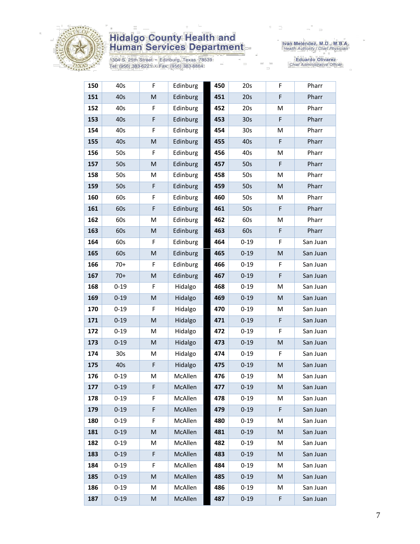

1304 S. 25th Street • Edinburg, Texas 78539<br>Tel: (956) 383-6221 • Fax: (956) 383-8864

Iván Meléndez, M.D., M.B.A.<br>Health Authority / Chief Physician

| 150 | 40s      | F                                                                                                          | Edinburg | 450 | 20s             | F         | Pharr    |
|-----|----------|------------------------------------------------------------------------------------------------------------|----------|-----|-----------------|-----------|----------|
| 151 | 40s      | M                                                                                                          | Edinburg | 451 | 20s             | F         | Pharr    |
| 152 | 40s      | F                                                                                                          | Edinburg | 452 | 20s             | M         | Pharr    |
| 153 | 40s      | F                                                                                                          | Edinburg | 453 | 30 <sub>s</sub> | F         | Pharr    |
| 154 | 40s      | F                                                                                                          | Edinburg | 454 | 30 <sub>s</sub> | M         | Pharr    |
| 155 | 40s      | M                                                                                                          | Edinburg | 455 | 40s             | F         | Pharr    |
| 156 | 50s      | F                                                                                                          | Edinburg | 456 | 40s             | M         | Pharr    |
| 157 | 50s      | M                                                                                                          | Edinburg | 457 | 50s             | F         | Pharr    |
| 158 | 50s      | M                                                                                                          | Edinburg | 458 | 50s             | M         | Pharr    |
| 159 | 50s      | F                                                                                                          | Edinburg | 459 | 50s             | M         | Pharr    |
| 160 | 60s      | F                                                                                                          | Edinburg | 460 | 50s             | M         | Pharr    |
| 161 | 60s      | F                                                                                                          | Edinburg | 461 | 50s             | F         | Pharr    |
| 162 | 60s      | M                                                                                                          | Edinburg | 462 | 60s             | M         | Pharr    |
| 163 | 60s      | M                                                                                                          | Edinburg | 463 | 60s             | F         | Pharr    |
| 164 | 60s      | F                                                                                                          | Edinburg | 464 | $0 - 19$        | F         | San Juan |
| 165 | 60s      | M                                                                                                          | Edinburg | 465 | $0 - 19$        | ${\sf M}$ | San Juan |
| 166 | $70+$    | F                                                                                                          | Edinburg | 466 | $0 - 19$        | F         | San Juan |
| 167 | $70+$    | ${\sf M}$                                                                                                  | Edinburg | 467 | $0 - 19$        | F         | San Juan |
| 168 | $0 - 19$ | F                                                                                                          | Hidalgo  | 468 | $0 - 19$        | M         | San Juan |
| 169 | $0 - 19$ | ${\sf M}$                                                                                                  | Hidalgo  | 469 | $0 - 19$        | M         | San Juan |
| 170 | $0 - 19$ | F.                                                                                                         | Hidalgo  | 470 | $0 - 19$        | M         | San Juan |
| 171 | $0 - 19$ | $\mathsf{M}% _{T}=\mathsf{M}_{T}\!\left( a,b\right) ,\ \mathsf{M}_{T}=\mathsf{M}_{T}\!\left( a,b\right) ,$ | Hidalgo  | 471 | $0 - 19$        | F         | San Juan |
| 172 | $0 - 19$ | M                                                                                                          | Hidalgo  | 472 | $0 - 19$        | F         | San Juan |
| 173 | $0 - 19$ | ${\sf M}$                                                                                                  | Hidalgo  | 473 | $0 - 19$        | ${\sf M}$ | San Juan |
| 174 | 30s      | M                                                                                                          | Hidalgo  | 474 | $0 - 19$        | F         | San Juan |
| 175 | 40s      | F                                                                                                          | Hidalgo  | 475 | $0 - 19$        | M         | San Juan |
| 176 | $0 - 19$ | M                                                                                                          | McAllen  | 476 | $0 - 19$        | M         | San Juan |
| 177 | $0 - 19$ | F                                                                                                          | McAllen  | 477 | $0 - 19$        | M         | San Juan |
| 178 | $0 - 19$ | F                                                                                                          | McAllen  | 478 | $0 - 19$        | M         | San Juan |
| 179 | $0 - 19$ | F                                                                                                          | McAllen  | 479 | $0 - 19$        | F         | San Juan |
| 180 | $0 - 19$ | F                                                                                                          | McAllen  | 480 | $0 - 19$        | M         | San Juan |
| 181 | $0 - 19$ | M                                                                                                          | McAllen  | 481 | $0 - 19$        | M         | San Juan |
| 182 | $0 - 19$ | М                                                                                                          | McAllen  | 482 | $0 - 19$        | M         | San Juan |
| 183 | $0 - 19$ | F                                                                                                          | McAllen  | 483 | $0 - 19$        | M         | San Juan |
| 184 | $0 - 19$ | F                                                                                                          | McAllen  | 484 | $0 - 19$        | M         | San Juan |
| 185 | $0 - 19$ | M                                                                                                          | McAllen  | 485 | $0 - 19$        | M         | San Juan |
| 186 | $0 - 19$ | M                                                                                                          | McAllen  | 486 | $0 - 19$        | M         | San Juan |
| 187 | $0 - 19$ | M                                                                                                          | McAllen  | 487 | $0 - 19$        | F         | San Juan |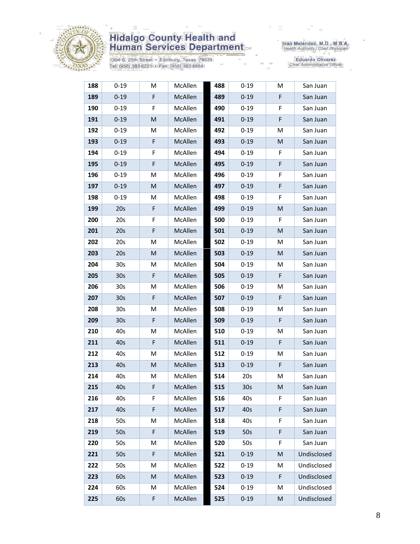

1304 S. 25th Street • Edinburg, Texas 78539<br>Tel: (956) 383-6221 • Fax: (956) 383-8864

Iván Meléndez, M.D., M.B.A.<br>Health Authority / Chief Physician

| 188 | $0 - 19$        | М           | McAllen | 488 | $0 - 19$        | M  | San Juan    |
|-----|-----------------|-------------|---------|-----|-----------------|----|-------------|
| 189 | $0 - 19$        | F           | McAllen | 489 | $0 - 19$        | F  | San Juan    |
| 190 | $0 - 19$        | F           | McAllen | 490 | $0 - 19$        | F  | San Juan    |
| 191 | $0 - 19$        | M           | McAllen | 491 | $0 - 19$        | F  | San Juan    |
| 192 | $0 - 19$        | M           | McAllen | 492 | $0 - 19$        | M  | San Juan    |
| 193 | $0 - 19$        | $\mathsf F$ | McAllen | 493 | $0 - 19$        | M  | San Juan    |
| 194 | $0 - 19$        | F           | McAllen | 494 | $0 - 19$        | F  | San Juan    |
| 195 | $0 - 19$        | F           | McAllen | 495 | $0 - 19$        | F  | San Juan    |
| 196 | $0 - 19$        | M           | McAllen | 496 | $0 - 19$        | F  | San Juan    |
| 197 | $0 - 19$        | M           | McAllen | 497 | $0 - 19$        | F  | San Juan    |
| 198 | $0 - 19$        | м           | McAllen | 498 | $0 - 19$        | F. | San Juan    |
| 199 | 20s             | F           | McAllen | 499 | $0 - 19$        | M  | San Juan    |
| 200 | 20s             | F           | McAllen | 500 | $0 - 19$        | F  | San Juan    |
| 201 | 20s             | F           | McAllen | 501 | $0 - 19$        | M  | San Juan    |
| 202 | 20s             | M           | McAllen | 502 | $0 - 19$        | M  | San Juan    |
| 203 | 20s             | M           | McAllen | 503 | $0 - 19$        | M  | San Juan    |
| 204 | 30s             | м           | McAllen | 504 | $0 - 19$        | M  | San Juan    |
| 205 | 30 <sub>s</sub> | F.          | McAllen | 505 | $0 - 19$        | F  | San Juan    |
| 206 | 30 <sub>s</sub> | Μ           | McAllen | 506 | $0 - 19$        | M  | San Juan    |
| 207 | 30 <sub>s</sub> | F           | McAllen | 507 | $0 - 19$        | F  | San Juan    |
| 208 | 30 <sub>s</sub> | Μ           | McAllen | 508 | $0 - 19$        | M  | San Juan    |
| 209 | 30 <sub>s</sub> | F           | McAllen | 509 | $0 - 19$        | F  | San Juan    |
| 210 | 40s             | Μ           | McAllen | 510 | $0 - 19$        | M  | San Juan    |
| 211 | 40s             | F           | McAllen | 511 | $0 - 19$        | F  | San Juan    |
| 212 | 40s             | M           | McAllen | 512 | $0 - 19$        | M  | San Juan    |
| 213 | 40s             | M           | McAllen | 513 | $0 - 19$        | F  | San Juan    |
| 214 | 40s             | М           | McAllen | 514 | 20s             | М  | San Juan    |
| 215 | 40s             | F           | McAllen | 515 | 30 <sub>s</sub> | M  | San Juan    |
| 216 | 40s             | F.          | McAllen | 516 | 40s             | F  | San Juan    |
| 217 | 40s             | F           | McAllen | 517 | 40 <sub>s</sub> | F  | San Juan    |
| 218 | 50s             | M           | McAllen | 518 | 40s             | F  | San Juan    |
| 219 | 50s             | F           | McAllen | 519 | 50s             | F  | San Juan    |
| 220 | 50s             | М           | McAllen | 520 | 50s             | F  | San Juan    |
| 221 | 50s             | F           | McAllen | 521 | $0 - 19$        | M  | Undisclosed |
| 222 | 50s             | M           | McAllen | 522 | $0 - 19$        | M  | Undisclosed |
| 223 | 60s             | M           | McAllen | 523 | $0 - 19$        | F  | Undisclosed |
| 224 | 60s             | M           | McAllen | 524 | $0 - 19$        | M  | Undisclosed |
| 225 | 60s             | F           | McAllen | 525 | $0 - 19$        | M  | Undisclosed |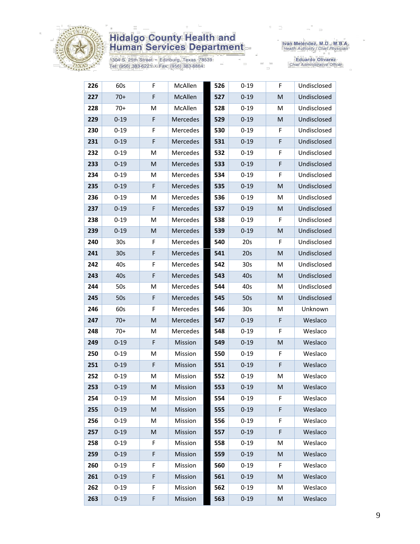

1304 S. 25th Street • Edinburg, Texas 78539<br>Tel: (956) 383-6221 • Fax: (956) 383-8864

Iván Meléndez, M.D., M.B.A.<br>Health Authority / Chief Physician

| 226 | 60s             | F           | McAllen  | 526 | $0 - 19$        | F.                                                                                                         | Undisclosed |
|-----|-----------------|-------------|----------|-----|-----------------|------------------------------------------------------------------------------------------------------------|-------------|
| 227 | $70+$           | F           | McAllen  | 527 | $0 - 19$        | M                                                                                                          | Undisclosed |
| 228 | $70+$           | M           | McAllen  | 528 | $0 - 19$        | M                                                                                                          | Undisclosed |
| 229 | $0 - 19$        | F           | Mercedes | 529 | $0 - 19$        | M                                                                                                          | Undisclosed |
| 230 | $0 - 19$        | F           | Mercedes | 530 | $0 - 19$        | F                                                                                                          | Undisclosed |
| 231 | $0 - 19$        | $\mathsf F$ | Mercedes | 531 | $0 - 19$        | F                                                                                                          | Undisclosed |
| 232 | $0 - 19$        | M           | Mercedes | 532 | $0 - 19$        | F                                                                                                          | Undisclosed |
| 233 | $0 - 19$        | M           | Mercedes | 533 | $0 - 19$        | F                                                                                                          | Undisclosed |
| 234 | $0 - 19$        | M           | Mercedes | 534 | $0 - 19$        | F                                                                                                          | Undisclosed |
| 235 | $0 - 19$        | $\mathsf F$ | Mercedes | 535 | $0 - 19$        | $\mathsf{M}% _{T}=\mathsf{M}_{T}\!\left( a,b\right) ,\ \mathsf{M}_{T}=\mathsf{M}_{T}\!\left( a,b\right) ,$ | Undisclosed |
| 236 | $0 - 19$        | M           | Mercedes | 536 | $0 - 19$        | M                                                                                                          | Undisclosed |
| 237 | $0 - 19$        | F           | Mercedes | 537 | $0 - 19$        | M                                                                                                          | Undisclosed |
| 238 | $0 - 19$        | M           | Mercedes | 538 | $0 - 19$        | F                                                                                                          | Undisclosed |
| 239 | $0 - 19$        | M           | Mercedes | 539 | $0 - 19$        | M                                                                                                          | Undisclosed |
| 240 | 30 <sub>s</sub> | F           | Mercedes | 540 | 20s             | F                                                                                                          | Undisclosed |
| 241 | 30 <sub>s</sub> | $\mathsf F$ | Mercedes | 541 | 20s             | M                                                                                                          | Undisclosed |
| 242 | 40s             | F           | Mercedes | 542 | 30 <sub>s</sub> | M                                                                                                          | Undisclosed |
| 243 | 40s             | F           | Mercedes | 543 | 40s             | M                                                                                                          | Undisclosed |
| 244 | 50s             | M           | Mercedes | 544 | 40s             | M                                                                                                          | Undisclosed |
| 245 | 50s             | F           | Mercedes | 545 | 50s             | M                                                                                                          | Undisclosed |
| 246 | 60s             | F           | Mercedes | 546 | 30s             | M                                                                                                          | Unknown     |
| 247 | $70+$           | M           | Mercedes | 547 | $0 - 19$        | F                                                                                                          | Weslaco     |
| 248 | $70+$           | M           | Mercedes | 548 | $0 - 19$        | F                                                                                                          | Weslaco     |
| 249 | $0 - 19$        | F           | Mission  | 549 | $0 - 19$        | M                                                                                                          | Weslaco     |
| 250 | $0 - 19$        | M           | Mission  | 550 | $0 - 19$        | F                                                                                                          | Weslaco     |
| 251 | $0 - 19$        | F           | Mission  | 551 | $0 - 19$        | F                                                                                                          | Weslaco     |
| 252 | $0 - 19$        | M           | Mission  | 552 | $0 - 19$        | M                                                                                                          | Weslaco     |
| 253 | $0 - 19$        | M           | Mission  | 553 | $0 - 19$        | M                                                                                                          | Weslaco     |
| 254 | $0 - 19$        | M           | Mission  | 554 | $0 - 19$        | F.                                                                                                         | Weslaco     |
| 255 | $0 - 19$        | M           | Mission  | 555 | $0 - 19$        | F                                                                                                          | Weslaco     |
| 256 | $0 - 19$        | M           | Mission  | 556 | $0 - 19$        | F                                                                                                          | Weslaco     |
| 257 | $0 - 19$        | M           | Mission  | 557 | $0 - 19$        | F                                                                                                          | Weslaco     |
| 258 | $0 - 19$        | F           | Mission  | 558 | $0 - 19$        | М                                                                                                          | Weslaco     |
| 259 | $0 - 19$        | F           | Mission  | 559 | $0 - 19$        | M                                                                                                          | Weslaco     |
| 260 | $0 - 19$        | F           | Mission  | 560 | $0 - 19$        | F                                                                                                          | Weslaco     |
| 261 | $0 - 19$        | $\mathsf F$ | Mission  | 561 | $0 - 19$        | M                                                                                                          | Weslaco     |
| 262 | $0 - 19$        | F           | Mission  | 562 | $0 - 19$        | M                                                                                                          | Weslaco     |
| 263 | $0 - 19$        | F           | Mission  | 563 | $0 - 19$        | ${\sf M}$                                                                                                  | Weslaco     |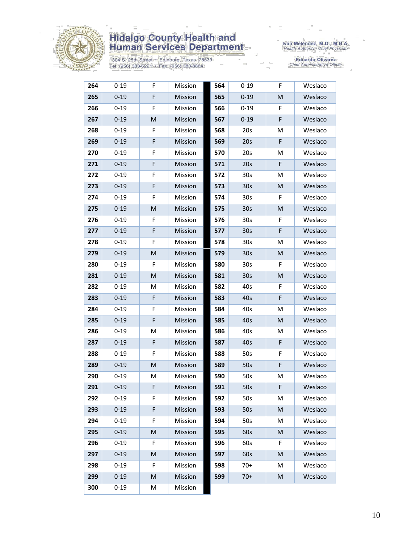

1304 S. 25th Street • Edinburg, Texas 78539<br>Tel: (956) 383-6221 • Fax: (956) 383-8864

Iván Meléndez, M.D., M.B.A.<br>Health Authority / Chief Physician

| 264 | $0 - 19$ | F                                                                                                          | Mission | 564 | $0 - 19$        | F         | Weslaco |
|-----|----------|------------------------------------------------------------------------------------------------------------|---------|-----|-----------------|-----------|---------|
| 265 | $0 - 19$ | F                                                                                                          | Mission | 565 | $0 - 19$        | M         | Weslaco |
| 266 | $0 - 19$ | F                                                                                                          | Mission | 566 | $0 - 19$        | F         | Weslaco |
| 267 | $0 - 19$ | M                                                                                                          | Mission | 567 | $0 - 19$        | F         | Weslaco |
| 268 | $0 - 19$ | F                                                                                                          | Mission | 568 | 20s             | M         | Weslaco |
| 269 | $0 - 19$ | F                                                                                                          | Mission | 569 | 20s             | F         | Weslaco |
| 270 | $0 - 19$ | F                                                                                                          | Mission | 570 | 20s             | M         | Weslaco |
| 271 | $0 - 19$ | F                                                                                                          | Mission | 571 | 20s             | F         | Weslaco |
| 272 | $0 - 19$ | F                                                                                                          | Mission | 572 | 30 <sub>s</sub> | M         | Weslaco |
| 273 | $0 - 19$ | F                                                                                                          | Mission | 573 | 30 <sub>s</sub> | ${\sf M}$ | Weslaco |
| 274 | $0 - 19$ | F                                                                                                          | Mission | 574 | 30 <sub>s</sub> | F         | Weslaco |
| 275 | $0 - 19$ | M                                                                                                          | Mission | 575 | 30 <sub>s</sub> | M         | Weslaco |
| 276 | $0 - 19$ | F                                                                                                          | Mission | 576 | 30 <sub>s</sub> | F         | Weslaco |
| 277 | $0 - 19$ | F                                                                                                          | Mission | 577 | 30 <sub>s</sub> | F         | Weslaco |
| 278 | $0 - 19$ | F                                                                                                          | Mission | 578 | 30 <sub>s</sub> | M         | Weslaco |
| 279 | $0 - 19$ | M                                                                                                          | Mission | 579 | 30 <sub>s</sub> | M         | Weslaco |
| 280 | $0 - 19$ | F                                                                                                          | Mission | 580 | 30 <sub>s</sub> | F         | Weslaco |
| 281 | $0 - 19$ | M                                                                                                          | Mission | 581 | 30 <sub>s</sub> | M         | Weslaco |
| 282 | $0 - 19$ | M                                                                                                          | Mission | 582 | 40s             | F         | Weslaco |
| 283 | $0 - 19$ | F                                                                                                          | Mission | 583 | 40s             | F         | Weslaco |
| 284 | $0 - 19$ | F                                                                                                          | Mission | 584 | 40s             | M         | Weslaco |
| 285 | $0 - 19$ | F                                                                                                          | Mission | 585 | 40s             | M         | Weslaco |
| 286 | $0 - 19$ | M                                                                                                          | Mission | 586 | 40s             | М         | Weslaco |
| 287 | $0 - 19$ | F                                                                                                          | Mission | 587 | 40s             | F         | Weslaco |
| 288 | $0 - 19$ | F                                                                                                          | Mission | 588 | 50s             | F         | Weslaco |
| 289 | $0 - 19$ | ${\sf M}$                                                                                                  | Mission | 589 | 50s             | F         | Weslaco |
| 290 | $0 - 19$ | M                                                                                                          | Mission | 590 | 50s             | M         | Weslaco |
| 291 | $0 - 19$ | F                                                                                                          | Mission | 591 | 50s             | F         | Weslaco |
| 292 | $0 - 19$ | F                                                                                                          | Mission | 592 | 50s             | M         | Weslaco |
| 293 | $0 - 19$ | F                                                                                                          | Mission | 593 | 50s             | M         | Weslaco |
| 294 | $0 - 19$ | F                                                                                                          | Mission | 594 | 50s             | M         | Weslaco |
| 295 | $0 - 19$ | M                                                                                                          | Mission | 595 | 60s             | M         | Weslaco |
| 296 | $0 - 19$ | F                                                                                                          | Mission | 596 | 60s             | F         | Weslaco |
| 297 | $0 - 19$ | M                                                                                                          | Mission | 597 | 60s             | M         | Weslaco |
| 298 | $0 - 19$ | F                                                                                                          | Mission | 598 | $70+$           | М         | Weslaco |
| 299 | $0 - 19$ | $\mathsf{M}% _{T}=\mathsf{M}_{T}\!\left( a,b\right) ,\ \mathsf{M}_{T}=\mathsf{M}_{T}\!\left( a,b\right) ,$ | Mission | 599 | $70+$           | M         | Weslaco |
| 300 | $0 - 19$ | M                                                                                                          | Mission |     |                 |           |         |